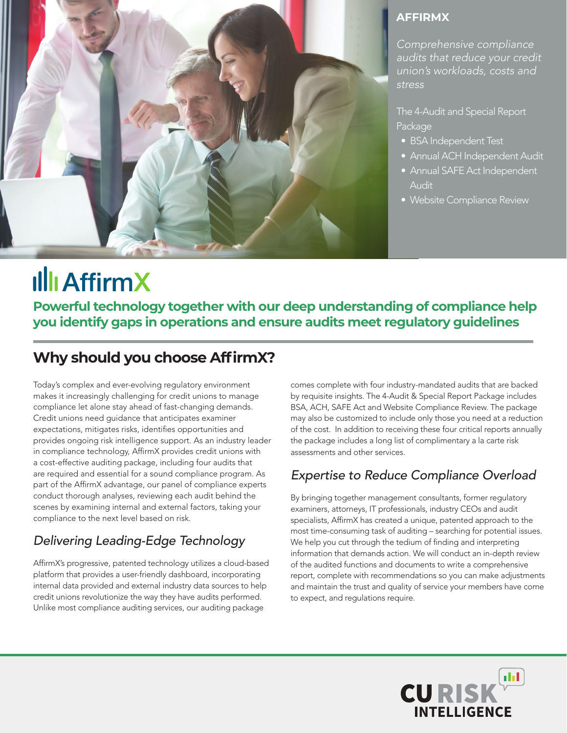

#### **AFFIRMX**

*Comprehensive compliance audits that reduce your credit union's workloads, costs and stress* 

The 4-Audit and Special Report Package

- BSA Independent Test
- Annual ACH Independent Audit
- Annual SAFE Act Independent Audit
- Website Compliance Review

## **Illi AffirmX**

**Powerful technology together with our deep understanding of compliance help you identify gaps in operations and ensure audits meet regulatory guidelines** 

## **Why should you choose AffirmX?**

Today's complex and ever-evolving regulatory environment makes it increasingly challenging for credit unions to manage compliance let alone stay ahead of fast-changing demands. Credit unions need guidance that anticipates examiner expectations, mitigates risks, identifies opportunities and provides ongoing risk intelligence support. As an industry leader in compliance technology, AffirmX provides credit unions with a cost-effective auditing package, including four audits that are required and essential for a sound compliance program. As part of the AffirmX advantage, our panel of compliance experts conduct thorough analyses, reviewing each audit behind the scenes by examining internal and external factors, taking your compliance to the next level based on risk.

### *Delivering Leading-Edge Technology*

AffirmX's progressive, patented technology utilizes a cloud-based platform that provides a user-friendly dashboard, incorporating internal data provided and external industry data sources to help credit unions revolutionize the way they have audits performed. Unlike most compliance auditing services, our auditing package

comes complete with four industry-mandated audits that are backed by requisite insights. The 4-Audit & Special Report Package includes BSA, ACH, SAFE Act and Website Compliance Review. The package may also be customized to include only those you need at a reduction of the cost. In addition to receiving these four critical reports annually the package includes a long list of complimentary a la carte risk assessments and other services.

### *Expertise to Reduce Compliance Overload*

By bringing together management consultants, former regulatory examiners, attorneys, IT professionals, industry CEOs and audit specialists, AffirmX has created a unique, patented approach to the most time-consuming task of auditing – searching for potential issues. We help you cut through the tedium of finding and interpreting information that demands action. We will conduct an in-depth review of the audited functions and documents to write a comprehensive report, complete with recommendations so you can make adjustments and maintain the trust and quality of service your members have come to expect, and regulations require.